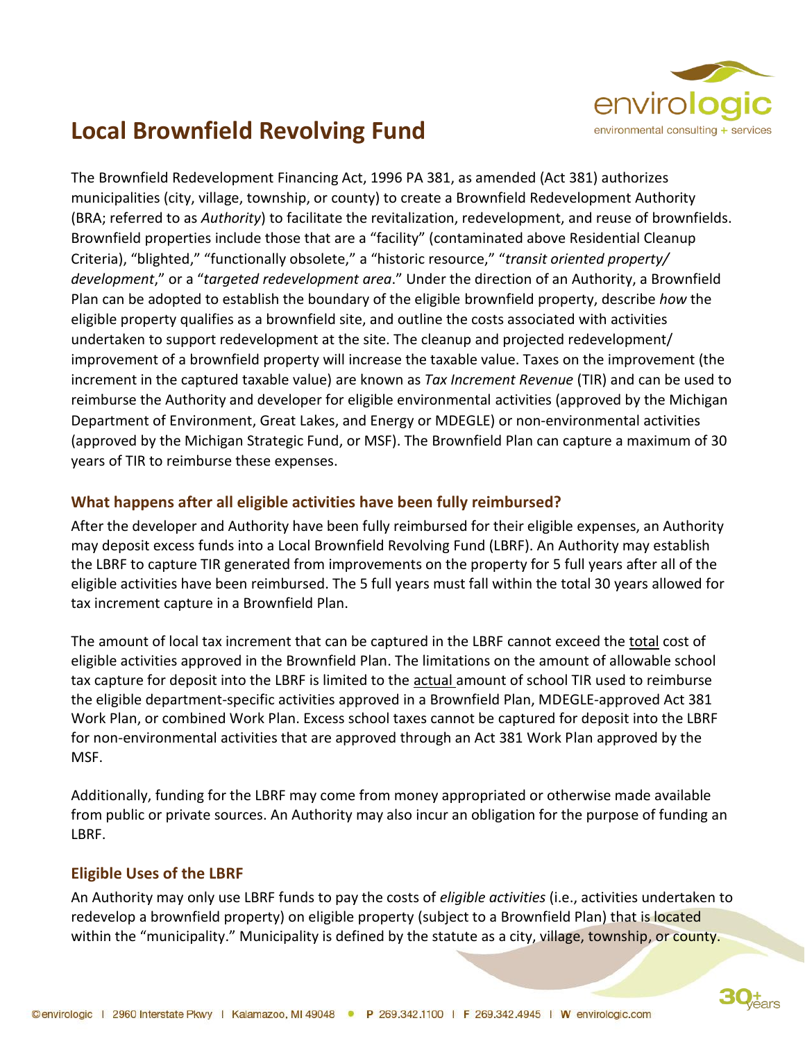

## **Local Brownfield Revolving Fund**

The Brownfield Redevelopment Financing Act, 1996 PA 381, as amended (Act 381) authorizes municipalities (city, village, township, or county) to create a Brownfield Redevelopment Authority (BRA; referred to as *Authority*) to facilitate the revitalization, redevelopment, and reuse of brownfields. Brownfield properties include those that are a "facility" (contaminated above Residential Cleanup Criteria), "blighted," "functionally obsolete," a "historic resource," "*transit oriented property/ development*," or a "*targeted redevelopment area*." Under the direction of an Authority, a Brownfield Plan can be adopted to establish the boundary of the eligible brownfield property, describe *how* the eligible property qualifies as a brownfield site, and outline the costs associated with activities undertaken to support redevelopment at the site. The cleanup and projected redevelopment/ improvement of a brownfield property will increase the taxable value. Taxes on the improvement (the increment in the captured taxable value) are known as *Tax Increment Revenue* (TIR) and can be used to reimburse the Authority and developer for eligible environmental activities (approved by the Michigan Department of Environment, Great Lakes, and Energy or MDEGLE) or non-environmental activities (approved by the Michigan Strategic Fund, or MSF). The Brownfield Plan can capture a maximum of 30 years of TIR to reimburse these expenses.

## **What happens after all eligible activities have been fully reimbursed?**

After the developer and Authority have been fully reimbursed for their eligible expenses, an Authority may deposit excess funds into a Local Brownfield Revolving Fund (LBRF). An Authority may establish the LBRF to capture TIR generated from improvements on the property for 5 full years after all of the eligible activities have been reimbursed. The 5 full years must fall within the total 30 years allowed for tax increment capture in a Brownfield Plan.

The amount of local tax increment that can be captured in the LBRF cannot exceed the total cost of eligible activities approved in the Brownfield Plan. The limitations on the amount of allowable school tax capture for deposit into the LBRF is limited to the actual amount of school TIR used to reimburse the eligible department-specific activities approved in a Brownfield Plan, MDEGLE-approved Act 381 Work Plan, or combined Work Plan. Excess school taxes cannot be captured for deposit into the LBRF for non-environmental activities that are approved through an Act 381 Work Plan approved by the MSF.

Additionally, funding for the LBRF may come from money appropriated or otherwise made available from public or private sources. An Authority may also incur an obligation for the purpose of funding an LBRF.

## **Eligible Uses of the LBRF**

An Authority may only use LBRF funds to pay the costs of *eligible activities* (i.e., activities undertaken to redevelop a brownfield property) on eligible property (subject to a Brownfield Plan) that is located within the "municipality." Municipality is defined by the statute as a city, village, township, or county.